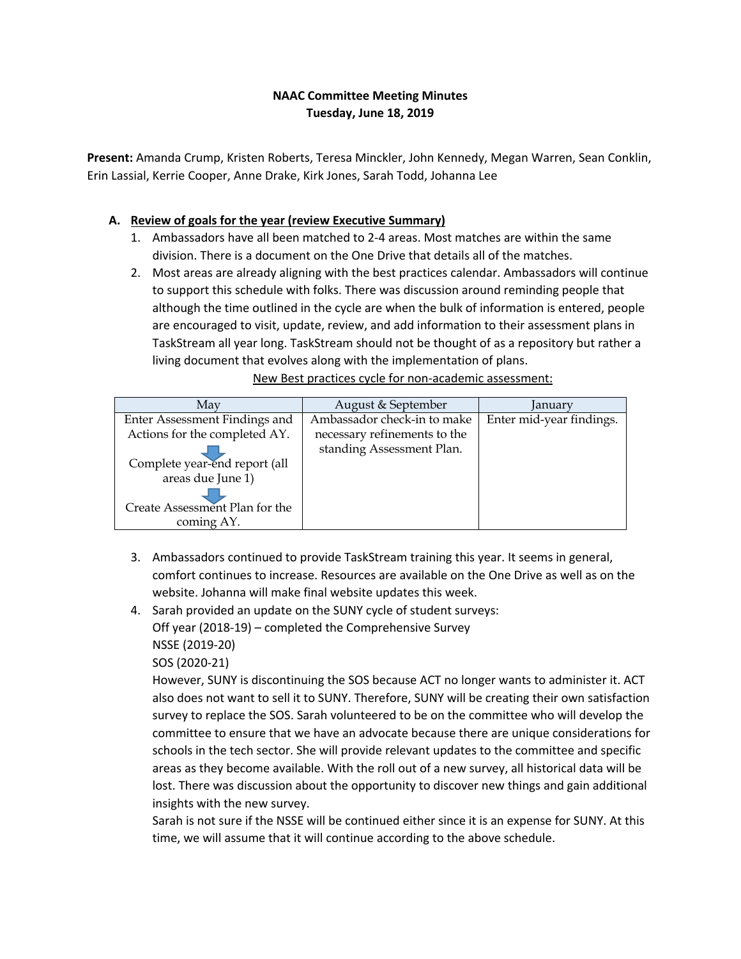## **NAAC Committee Meeting Minutes Tuesday, June 18, 2019**

**Present:** Amanda Crump, Kristen Roberts, Teresa Minckler, John Kennedy, Megan Warren, Sean Conklin, Erin Lassial, Kerrie Cooper, Anne Drake, Kirk Jones, Sarah Todd, Johanna Lee

#### **A. Review of goals for the year (review Executive Summary)**

- 1. Ambassadors have all been matched to 2-4 areas. Most matches are within the same division. There is a document on the One Drive that details all of the matches.
- 2. Most areas are already aligning with the best practices calendar. Ambassadors will continue to support this schedule with folks. There was discussion around reminding people that although the time outlined in the cycle are when the bulk of information is entered, people are encouraged to visit, update, review, and add information to their assessment plans in TaskStream all year long. TaskStream should not be thought of as a repository but rather a living document that evolves along with the implementation of plans.

| May                                                                                  | August & September           | January                  |
|--------------------------------------------------------------------------------------|------------------------------|--------------------------|
| Enter Assessment Findings and                                                        | Ambassador check-in to make  | Enter mid-year findings. |
| Actions for the completed AY.                                                        | necessary refinements to the |                          |
| Complete year-end report (all<br>areas due June 1)<br>Create Assessment Plan for the | standing Assessment Plan.    |                          |
| coming AY.                                                                           |                              |                          |

New Best practices cycle for non-academic assessment:

- 3. Ambassadors continued to provide TaskStream training this year. It seems in general, comfort continues to increase. Resources are available on the One Drive as well as on the website. Johanna will make final website updates this week.
- 4. Sarah provided an update on the SUNY cycle of student surveys: Off year (2018-19) – completed the Comprehensive Survey NSSE (2019-20)

SOS (2020-21)

However, SUNY is discontinuing the SOS because ACT no longer wants to administer it. ACT also does not want to sell it to SUNY. Therefore, SUNY will be creating their own satisfaction survey to replace the SOS. Sarah volunteered to be on the committee who will develop the committee to ensure that we have an advocate because there are unique considerations for schools in the tech sector. She will provide relevant updates to the committee and specific areas as they become available. With the roll out of a new survey, all historical data will be lost. There was discussion about the opportunity to discover new things and gain additional insights with the new survey.

Sarah is not sure if the NSSE will be continued either since it is an expense for SUNY. At this time, we will assume that it will continue according to the above schedule.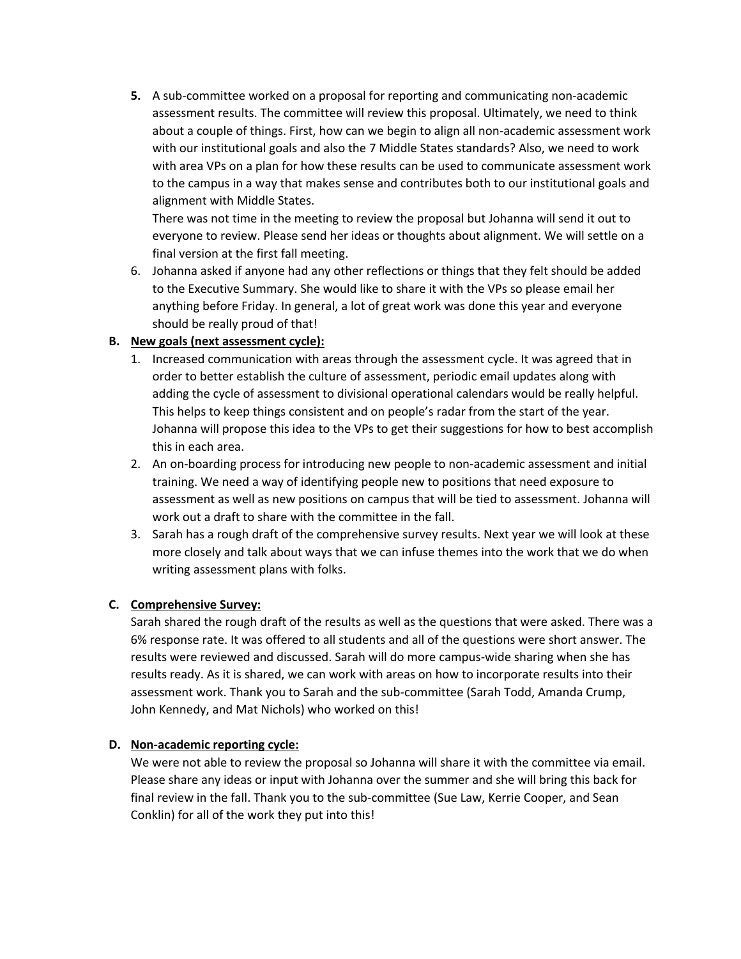**5.** A sub-committee worked on a proposal for reporting and communicating non-academic assessment results. The committee will review this proposal. Ultimately, we need to think about a couple of things. First, how can we begin to align all non-academic assessment work with our institutional goals and also the 7 Middle States standards? Also, we need to work with area VPs on a plan for how these results can be used to communicate assessment work to the campus in a way that makes sense and contributes both to our institutional goals and alignment with Middle States.

There was not time in the meeting to review the proposal but Johanna will send it out to everyone to review. Please send her ideas or thoughts about alignment. We will settle on a final version at the first fall meeting.

6. Johanna asked if anyone had any other reflections or things that they felt should be added to the Executive Summary. She would like to share it with the VPs so please email her anything before Friday. In general, a lot of great work was done this year and everyone should be really proud of that!

### **B. New goals (next assessment cycle):**

- 1. Increased communication with areas through the assessment cycle. It was agreed that in order to better establish the culture of assessment, periodic email updates along with adding the cycle of assessment to divisional operational calendars would be really helpful. This helps to keep things consistent and on people's radar from the start of the year. Johanna will propose this idea to the VPs to get their suggestions for how to best accomplish this in each area.
- 2. An on-boarding process for introducing new people to non-academic assessment and initial training. We need a way of identifying people new to positions that need exposure to assessment as well as new positions on campus that will be tied to assessment. Johanna will work out a draft to share with the committee in the fall.
- 3. Sarah has a rough draft of the comprehensive survey results. Next year we will look at these more closely and talk about ways that we can infuse themes into the work that we do when writing assessment plans with folks.

### **C. Comprehensive Survey:**

Sarah shared the rough draft of the results as well as the questions that were asked. There was a 6% response rate. It was offered to all students and all of the questions were short answer. The results were reviewed and discussed. Sarah will do more campus-wide sharing when she has results ready. As it is shared, we can work with areas on how to incorporate results into their assessment work. Thank you to Sarah and the sub-committee (Sarah Todd, Amanda Crump, John Kennedy, and Mat Nichols) who worked on this!

#### **D. Non-academic reporting cycle:**

We were not able to review the proposal so Johanna will share it with the committee via email. Please share any ideas or input with Johanna over the summer and she will bring this back for final review in the fall. Thank you to the sub-committee (Sue Law, Kerrie Cooper, and Sean Conklin) for all of the work they put into this!